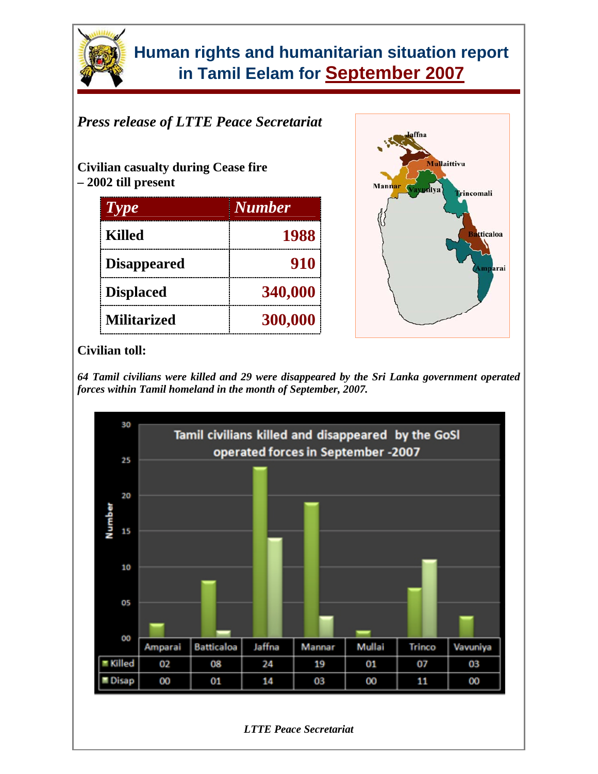

## *Press release of LTTE Peace Secretariat*

**Civilian casualty during Cease fire – 2002 till present** 

| $T$ $Y$            | <b>Number</b> |
|--------------------|---------------|
| <b>Killed</b>      | 1988          |
| <b>Disappeared</b> | 910           |
| <b>Displaced</b>   | 340,000       |
| <b>Militarized</b> | 300,000       |



### **Civilian toll:**

*64 Tamil civilians were killed and 29 were disappeared by the Sri Lanka government operated forces within Tamil homeland in the month of September, 2007.* 

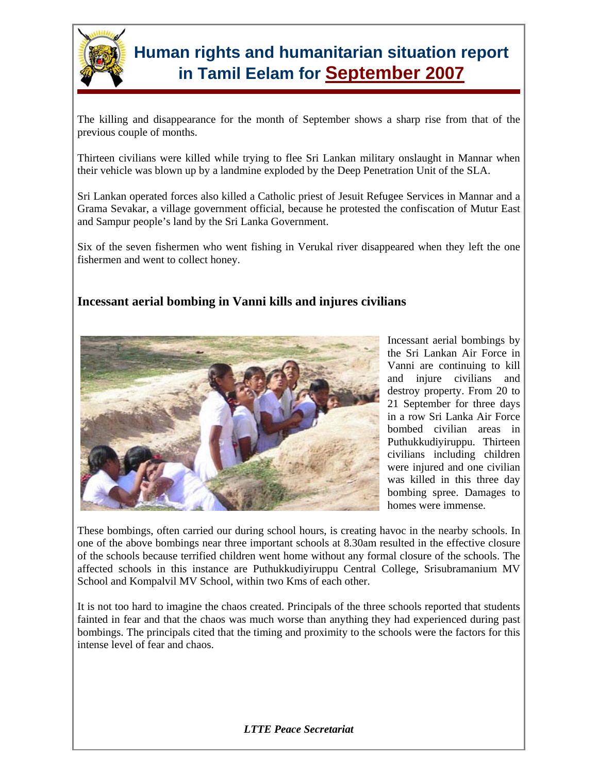

The killing and disappearance for the month of September shows a sharp rise from that of the previous couple of months.

Thirteen civilians were killed while trying to flee Sri Lankan military onslaught in Mannar when their vehicle was blown up by a landmine exploded by the Deep Penetration Unit of the SLA.

Sri Lankan operated forces also killed a Catholic priest of Jesuit Refugee Services in Mannar and a Grama Sevakar, a village government official, because he protested the confiscation of Mutur East and Sampur people's land by the Sri Lanka Government.

Six of the seven fishermen who went fishing in Verukal river disappeared when they left the one fishermen and went to collect honey.

### **Incessant aerial bombing in Vanni kills and injures civilians**



Incessant aerial bombings by the Sri Lankan Air Force in Vanni are continuing to kill and injure civilians and destroy property. From 20 to 21 September for three days in a row Sri Lanka Air Force bombed civilian areas in Puthukkudiyiruppu. Thirteen civilians including children were injured and one civilian was killed in this three day bombing spree. Damages to homes were immense.

These bombings, often carried our during school hours, is creating havoc in the nearby schools. In one of the above bombings near three important schools at 8.30am resulted in the effective closure of the schools because terrified children went home without any formal closure of the schools. The affected schools in this instance are Puthukkudiyiruppu Central College, Srisubramanium MV School and Kompalvil MV School, within two Kms of each other.

It is not too hard to imagine the chaos created. Principals of the three schools reported that students fainted in fear and that the chaos was much worse than anything they had experienced during past bombings. The principals cited that the timing and proximity to the schools were the factors for this intense level of fear and chaos.

*LTTE Peace Secretariat*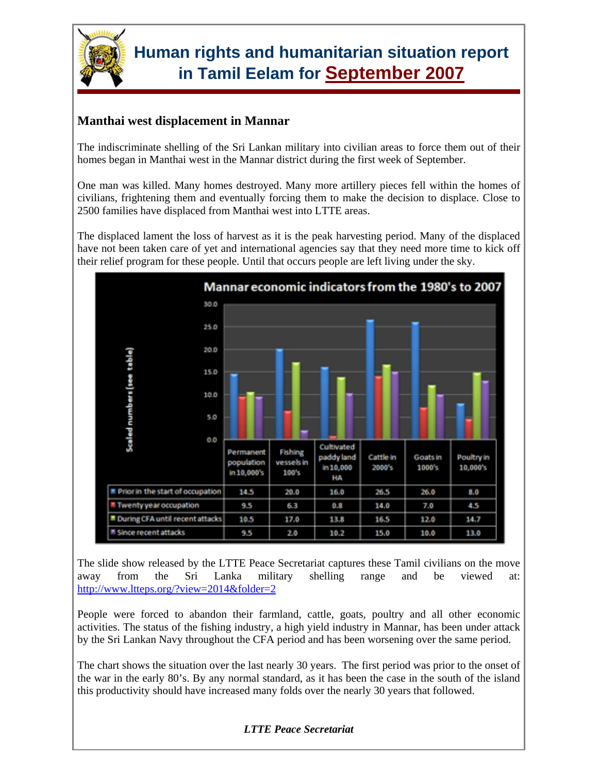

### **Manthai west displacement in Mannar**

The indiscriminate shelling of the Sri Lankan military into civilian areas to force them out of their homes began in Manthai west in the Mannar district during the first week of September.

One man was killed. Many homes destroyed. Many more artillery pieces fell within the homes of civilians, frightening them and eventually forcing them to make the decision to displace. Close to 2500 families have displaced from Manthai west into LTTE areas.

The displaced lament the loss of harvest as it is the peak harvesting period. Many of the displaced have not been taken care of yet and international agencies say that they need more time to kick off their relief program for these people. Until that occurs people are left living under the sky.



The slide show released by the LTTE Peace Secretariat captures these Tamil civilians on the move away from the Sri Lanka military shelling range and be viewed at: http://www.ltteps.org/?view=2014&folder=2

People were forced to abandon their farmland, cattle, goats, poultry and all other economic activities. The status of the fishing industry, a high yield industry in Mannar, has been under attack by the Sri Lankan Navy throughout the CFA period and has been worsening over the same period.

The chart shows the situation over the last nearly 30 years. The first period was prior to the onset of the war in the early 80's. By any normal standard, as it has been the case in the south of the island this productivity should have increased many folds over the nearly 30 years that followed.

#### *LTTE Peace Secretariat*